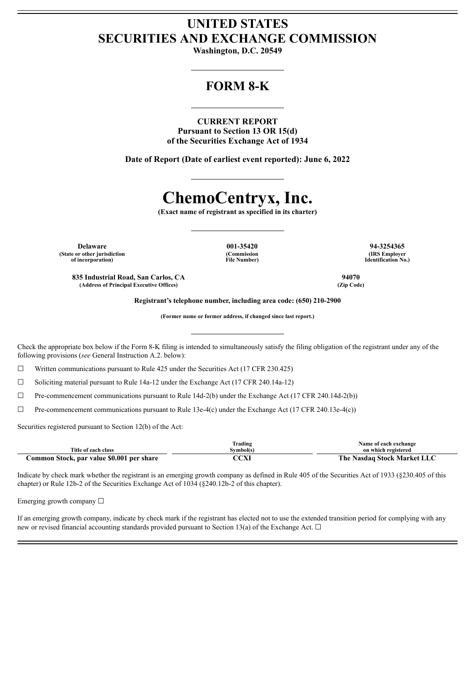## **UNITED STATES SECURITIES AND EXCHANGE COMMISSION**

**Washington, D.C. 20549**

## **FORM 8-K**

**CURRENT REPORT Pursuant to Section 13 OR 15(d) of the Securities Exchange Act of 1934**

**Date of Report (Date of earliest event reported): June 6, 2022**

# **ChemoCentryx, Inc.**

**(Exact name of registrant as specified in its charter)**

**Delaware 001-35420 94-3254365 (State or other jurisdiction of incorporation)**

**(Commission File Number)**

**(IRS Employer Identification No.)**

**835 Industrial Road, San Carlos, CA 94070 (Address of Principal Executive Offices) (Zip Code)**

**Registrant's telephone number, including area code: (650) 210-2900**

**(Former name or former address, if changed since last report.)**

Check the appropriate box below if the Form 8-K filing is intended to simultaneously satisfy the filing obligation of the registrant under any of the following provisions (*see* General Instruction A.2. below):

 $\Box$  Written communications pursuant to Rule 425 under the Securities Act (17 CFR 230.425)

☐ Soliciting material pursuant to Rule 14a-12 under the Exchange Act (17 CFR 240.14a-12)

 $\Box$  Pre-commencement communications pursuant to Rule 14d-2(b) under the Exchange Act (17 CFR 240.14d-2(b))

 $\Box$  Pre-commencement communications pursuant to Rule 13e-4(c) under the Exchange Act (17 CFR 240.13e-4(c))

Securities registered pursuant to Section 12(b) of the Act:

|                                           | Trading   | Name of each exchange       |
|-------------------------------------------|-----------|-----------------------------|
| Title of each class                       | Svmbol(s) | on which registered         |
| Common Stock, par value \$0.001 per share | ' שרו     | The Nasdaq Stock Market LLC |

Indicate by check mark whether the registrant is an emerging growth company as defined in Rule 405 of the Securities Act of 1933 (§230.405 of this chapter) or Rule 12b-2 of the Securities Exchange Act of 1034 (§240.12b-2 of this chapter).

Emerging growth company  $\Box$ 

If an emerging growth company, indicate by check mark if the registrant has elected not to use the extended transition period for complying with any new or revised financial accounting standards provided pursuant to Section 13(a) of the Exchange Act.  $\Box$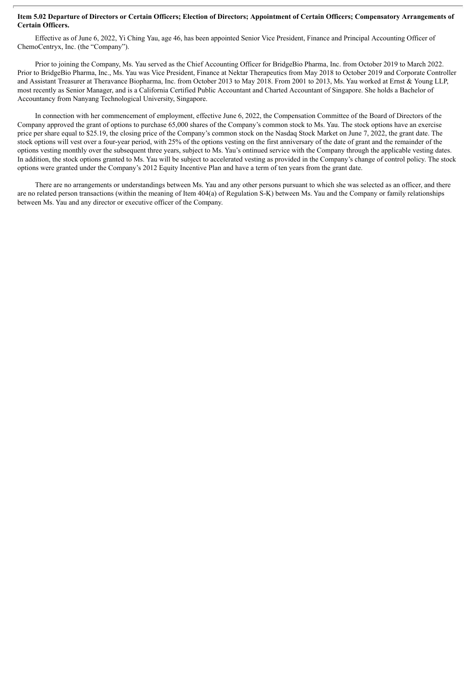#### Item 5.02 Departure of Directors or Certain Officers; Election of Directors; Appointment of Certain Officers; Compensatory Arrangements of **Certain Officers.**

Effective as of June 6, 2022, Yi Ching Yau, age 46, has been appointed Senior Vice President, Finance and Principal Accounting Officer of ChemoCentryx, Inc. (the "Company").

Prior to joining the Company, Ms. Yau served as the Chief Accounting Officer for BridgeBio Pharma, Inc. from October 2019 to March 2022. Prior to BridgeBio Pharma, Inc., Ms. Yau was Vice President, Finance at Nektar Therapeutics from May 2018 to October 2019 and Corporate Controller and Assistant Treasurer at Theravance Biopharma, Inc. from October 2013 to May 2018. From 2001 to 2013, Ms. Yau worked at Ernst & Young LLP, most recently as Senior Manager, and is a California Certified Public Accountant and Charted Accountant of Singapore. She holds a Bachelor of Accountancy from Nanyang Technological University, Singapore.

In connection with her commencement of employment, effective June 6, 2022, the Compensation Committee of the Board of Directors of the Company approved the grant of options to purchase 65,000 shares of the Company's common stock to Ms. Yau. The stock options have an exercise price per share equal to \$25.19, the closing price of the Company's common stock on the Nasdaq Stock Market on June 7, 2022, the grant date. The stock options will vest over a four-year period, with 25% of the options vesting on the first anniversary of the date of grant and the remainder of the options vesting monthly over the subsequent three years, subject to Ms. Yau's ontinued service with the Company through the applicable vesting dates. In addition, the stock options granted to Ms. Yau will be subject to accelerated vesting as provided in the Company's change of control policy. The stock options were granted under the Company's 2012 Equity Incentive Plan and have a term of ten years from the grant date.

There are no arrangements or understandings between Ms. Yau and any other persons pursuant to which she was selected as an officer, and there are no related person transactions (within the meaning of Item 404(a) of Regulation S-K) between Ms. Yau and the Company or family relationships between Ms. Yau and any director or executive officer of the Company.